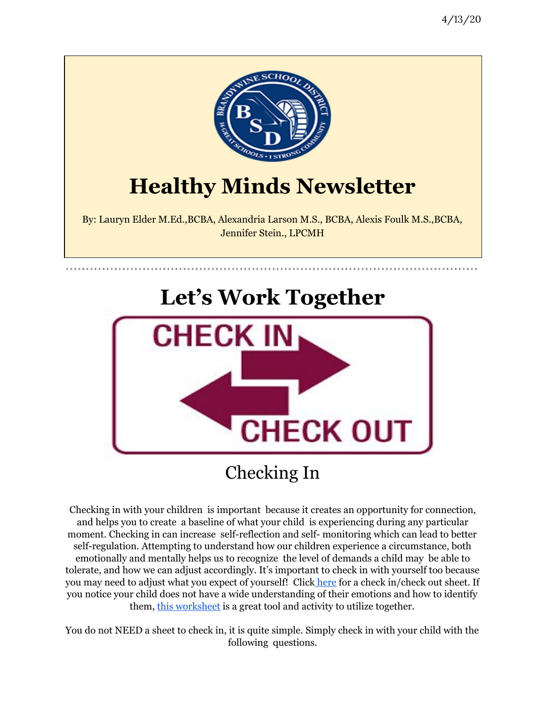



## Checking In

Checking in with your children is important because it creates an opportunity for connection, and helps you to create a baseline of what your child is experiencing during any particular moment. Checking in can increase self-reflection and self- monitoring which can lead to better self-regulation. Attempting to understand how our children experience a circumstance, both emotionally and mentally helps us to recognize the level of demands a child may be able to tolerate, and how we can adjust accordingly. It's important to check in with yourself too because you may need to adjust what you expect of yourself! Click [here](https://do2learn.com/activities/SocialSkills/EmotionCheckIn-Checkout/index.html) for a check in/check out sheet. If you notice your child does not have a wide understanding of their emotions and how to identify them, this [worksheet](https://do2learn.com/activities/SocialSkills/EmotionsWorkSheet/index.html) is a great tool and activity to utilize together.

You do not NEED a sheet to check in, it is quite simple. Simply check in with your child with the following questions.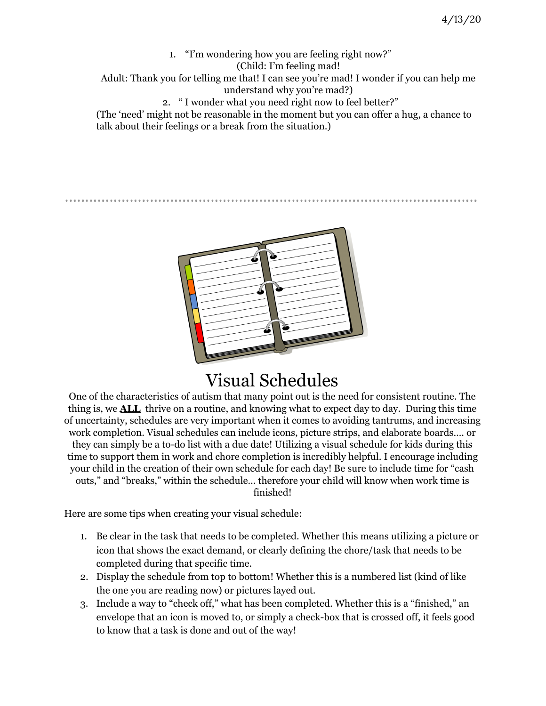1. "I'm wondering how you are feeling right now?" (Child: I'm feeling mad! Adult: Thank you for telling me that! I can see you're mad! I wonder if you can help me understand why you're mad?) 2. " I wonder what you need right now to feel better?" (The 'need' might not be reasonable in the moment but you can offer a hug, a chance to

talk about their feelings or a break from the situation.)



### Visual Schedules

One of the characteristics of autism that many point out is the need for consistent routine. The thing is, we **ALL** thrive on a routine, and knowing what to expect day to day. During this time of uncertainty, schedules are very important when it comes to avoiding tantrums, and increasing work completion. Visual schedules can include icons, picture strips, and elaborate boards…. or they can simply be a to-do list with a due date! Utilizing a visual schedule for kids during this time to support them in work and chore completion is incredibly helpful. I encourage including your child in the creation of their own schedule for each day! Be sure to include time for "cash outs," and "breaks," within the schedule… therefore your child will know when work time is finished!

Here are some tips when creating your visual schedule:

- 1. Be clear in the task that needs to be completed. Whether this means utilizing a picture or icon that shows the exact demand, or clearly defining the chore/task that needs to be completed during that specific time.
- 2. Display the schedule from top to bottom! Whether this is a numbered list (kind of like the one you are reading now) or pictures layed out.
- 3. Include a way to "check off," what has been completed. Whether this is a "finished," an envelope that an icon is moved to, or simply a check-box that is crossed off, it feels good to know that a task is done and out of the way!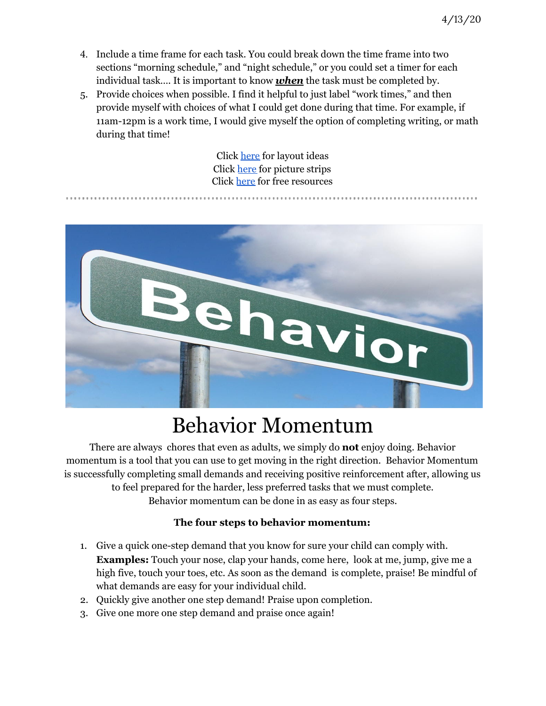- 4. Include a time frame for each task. You could break down the time frame into two sections "morning schedule," and "night schedule," or you could set a timer for each individual task…. It is important to know *when* the task must be completed by.
- 5. Provide choices when possible. I find it helpful to just label "work times," and then provide myself with choices of what I could get done during that time. For example, if 11am-12pm is a work time, I would give myself the option of completing writing, or math during that time!

Click [here](https://do2learn.com/picturecards/howtouse/otherlayouts.htm) for layout ideas Click [here](https://do2learn.com/picturecards/howtouse/reminderstrips.htm) for picture strips Click [here](https://teachingmama.org/visual-routine-cards-for-before-and-after-school/) for free resources



## Behavior Momentum

There are always chores that even as adults, we simply do **not** enjoy doing. Behavior momentum is a tool that you can use to get moving in the right direction. Behavior Momentum is successfully completing small demands and receiving positive reinforcement after, allowing us to feel prepared for the harder, less preferred tasks that we must complete. Behavior momentum can be done in as easy as four steps.

#### **The four steps to behavior momentum:**

- 1. Give a quick one-step demand that you know for sure your child can comply with. **Examples:** Touch your nose, clap your hands, come here, look at me, jump, give me a high five, touch your toes, etc. As soon as the demand is complete, praise! Be mindful of what demands are easy for your individual child.
- 2. Quickly give another one step demand! Praise upon completion.
- 3. Give one more one step demand and praise once again!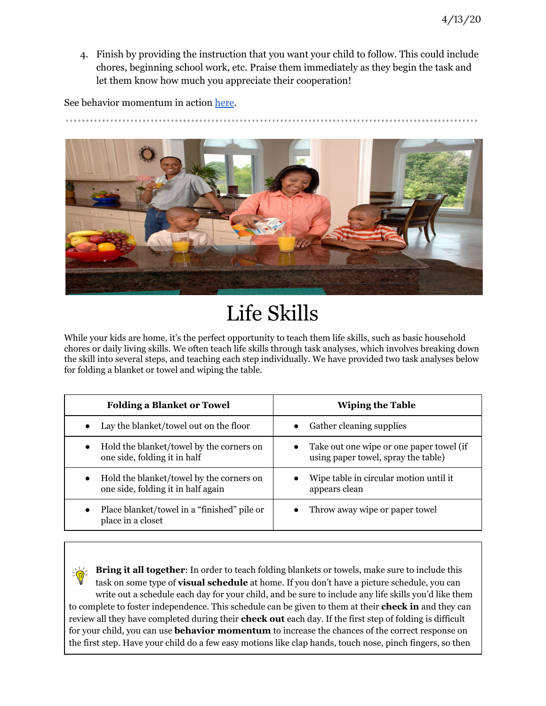4. Finish by providing the instruction that you want your child to follow. This could include chores, beginning school work, etc. Praise them immediately as they begin the task and let them know how much you appreciate their cooperation!

See behavior momentum in action [here](https://www.youtube.com/watch?v=8irK0qU5OgI).



# Life Skills

While your kids are home, it's the perfect opportunity to teach them life skills, such as basic household chores or daily living skills. We often teach life skills through task analyses, which involves breaking down the skill into several steps, and teaching each step individually. We have provided two task analyses below for folding a blanket or towel and wiping the table.

| <b>Folding a Blanket or Towel</b>                                                           | <b>Wiping the Table</b>                                                                      |
|---------------------------------------------------------------------------------------------|----------------------------------------------------------------------------------------------|
| Lay the blanket/towel out on the floor<br>$\bullet$                                         | Gather cleaning supplies                                                                     |
| Hold the blanket/towel by the corners on<br>$\bullet$<br>one side, folding it in half       | Take out one wipe or one paper towel (if<br>$\bullet$<br>using paper towel, spray the table) |
| Hold the blanket/towel by the corners on<br>$\bullet$<br>one side, folding it in half again | Wipe table in circular motion until it<br>appears clean                                      |
| Place blanket/towel in a "finished" pile or<br>$\bullet$<br>place in a closet               | Throw away wipe or paper towel                                                               |

**Bring it all together**: In order to teach folding blankets or towels, make sure to include this task on some type of **visual schedule** at home. If you don't have a picture schedule, you can write out a schedule each day for your child, and be sure to include any life skills you'd like them to complete to foster independence. This schedule can be given to them at their **check in** and they can review all they have completed during their **check out** each day. If the first step of folding is difficult for your child, you can use **behavior momentum** to increase the chances of the correct response on the first step. Have your child do a few easy motions like clap hands, touch nose, pinch fingers, so then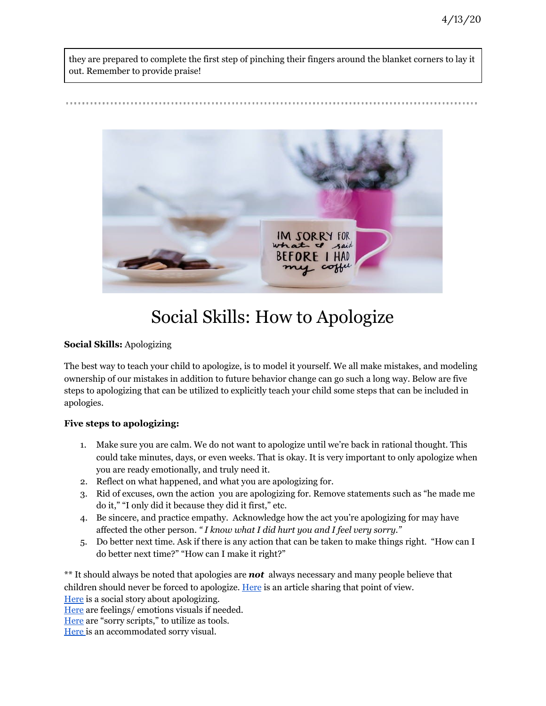they are prepared to complete the first step of pinching their fingers around the blanket corners to lay it out. Remember to provide praise!



### Social Skills: How to Apologize

#### **Social Skills:** Apologizing

The best way to teach your child to apologize, is to model it yourself. We all make mistakes, and modeling ownership of our mistakes in addition to future behavior change can go such a long way. Below are five steps to apologizing that can be utilized to explicitly teach your child some steps that can be included in apologies.

#### **Five steps to apologizing:**

- 1. Make sure you are calm. We do not want to apologize until we're back in rational thought. This could take minutes, days, or even weeks. That is okay. It is very important to only apologize when you are ready emotionally, and truly need it.
- 2. Reflect on what happened, and what you are apologizing for.
- 3. Rid of excuses, own the action you are apologizing for. Remove statements such as "he made me do it," "I only did it because they did it first," etc.
- 4. Be sincere, and practice empathy. Acknowledge how the act you're apologizing for may have affected the other person. *" I know what I did hurt you and I feel very sorry."*
- 5. Do better next time. Ask if there is any action that can be taken to make things right. "How can I do better next time?" "How can I make it right?"

\*\* It should always be noted that apologies are *not* always necessary and many people believe that children should never be forced to apologize. [Here](https://curiosity.com/topics/forcing-kids-to-say-im-sorry-doesnt-fool-anybody-curiosity/?utm_source=pinterest&utm_medium=social) is an article sharing that point of view. [Here](http://brookereagansclass.com/using-social-stories-to-teach-appropriate-behaviors/) is a social story about apologizing. [Here](https://www.funwithmama.com/feelings-chart-for-kids/) are feelings/ emotions visuals if needed. [Here](https://www.andnextcomesl.com/2016/11/how-to-say-sorry-social-scripts.html) are "sorry scripts," to utilize as tools. [Here](https://www.teacherspayteachers.com/Product/I-am-Sorry-Visual-FREEBIE-4346035) is an accommodated sorry visual.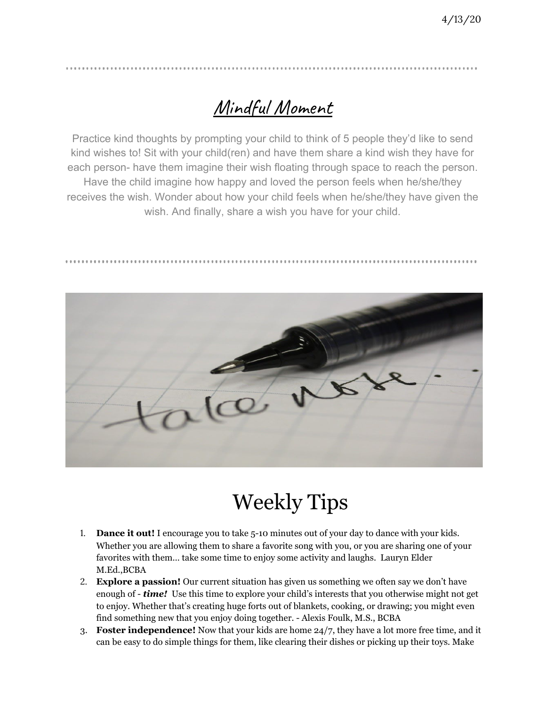## Mindful Moment

Practice kind thoughts by prompting your child to think of 5 people they'd like to send kind wishes to! Sit with your child(ren) and have them share a kind wish they have for each person- have them imagine their wish floating through space to reach the person. Have the child imagine how happy and loved the person feels when he/she/they receives the wish. Wonder about how your child feels when he/she/they have given the wish. And finally, share a wish you have for your child.



## Weekly Tips

- 1. **Dance it out!** I encourage you to take 5-10 minutes out of your day to dance with your kids. Whether you are allowing them to share a favorite song with you, or you are sharing one of your favorites with them… take some time to enjoy some activity and laughs. Lauryn Elder M.Ed.,BCBA
- 2. **Explore a passion!** Our current situation has given us something we often say we don't have enough of - *time!* Use this time to explore your child's interests that you otherwise might not get to enjoy. Whether that's creating huge forts out of blankets, cooking, or drawing; you might even find something new that you enjoy doing together. - Alexis Foulk, M.S., BCBA
- 3. **Foster independence!** Now that your kids are home 24/7, they have a lot more free time, and it can be easy to do simple things for them, like clearing their dishes or picking up their toys. Make